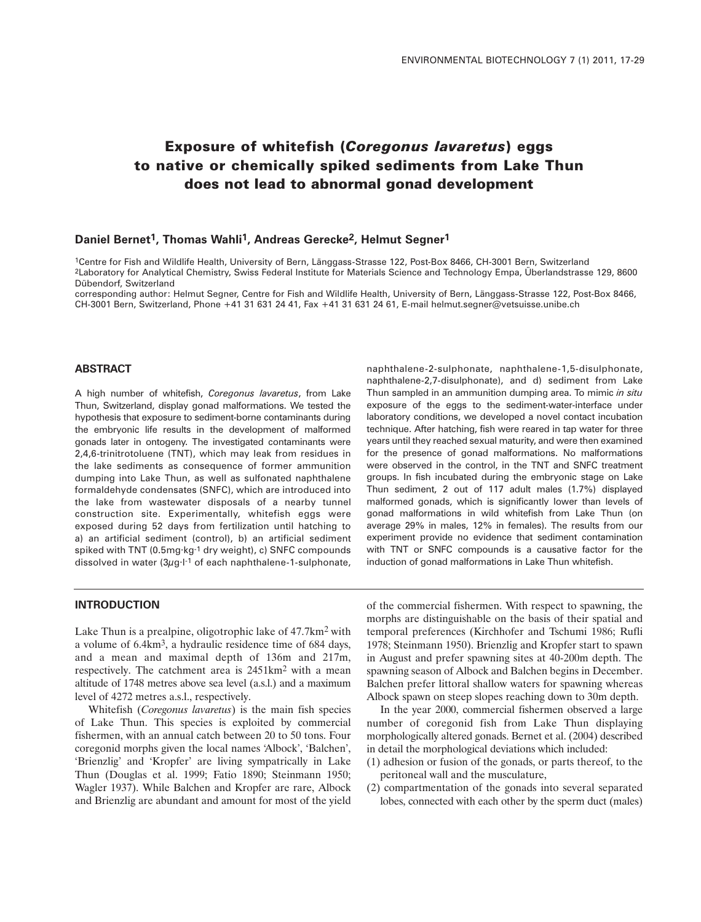# **Exposure of whitefish (***Coregonus lavaretus***) eggs to native or chemically spiked sediments from Lake Thun does not lead to abnormal gonad development**

#### **Daniel Bernet1, Thomas Wahli1, Andreas Gerecke2, Helmut Segner1**

1Centre for Fish and Wildlife Health, University of Bern, Länggass-Strasse 122, Post-Box 8466, CH-3001 Bern, Switzerland 2Laboratory for Analytical Chemistry, Swiss Federal Institute for Materials Science and Technology Empa, Überlandstrasse 129, 8600 Dübendorf, Switzerland

corresponding author: Helmut Segner, Centre for Fish and Wildlife Health, University of Bern, Länggass-Strasse 122, Post-Box 8466, CH-3001 Bern, Switzerland, Phone +41 31 631 24 41, Fax +41 31 631 24 61, E-mail helmut.segner@vetsuisse.unibe.ch

# **ABSTRACT**

A high number of whitefish, *Coregonus lavaretus*, from Lake Thun, Switzerland, display gonad malformations. We tested the hypothesis that exposure to sediment-borne contaminants during the embryonic life results in the development of malformed gonads later in ontogeny. The investigated contaminants were 2,4,6-trinitrotoluene (TNT), which may leak from residues in the lake sediments as consequence of former ammunition dumping into Lake Thun, as well as sulfonated naphthalene formaldehyde condensates (SNFC), which are introduced into the lake from wastewater disposals of a nearby tunnel construction site. Experimentally, whitefish eggs were exposed during 52 days from fertilization until hatching to a) an artificial sediment (control), b) an artificial sediment spiked with TNT (0.5mg·kg-1 dry weight), c) SNFC compounds dissolved in water  $(3\mu g \cdot l^{-1})$  of each naphthalene-1-sulphonate,

naphthalene-2-sulphonate, naphthalene-1,5-disulphonate, naphthalene-2,7-disulphonate), and d) sediment from Lake Thun sampled in an ammunition dumping area. To mimic *in situ* exposure of the eggs to the sediment-water-interface under laboratory conditions, we developed a novel contact incubation technique. After hatching, fish were reared in tap water for three years until they reached sexual maturity, and were then examined for the presence of gonad malformations. No malformations were observed in the control, in the TNT and SNFC treatment groups. In fish incubated during the embryonic stage on Lake Thun sediment, 2 out of 117 adult males (1.7%) displayed malformed gonads, which is significantly lower than levels of gonad malformations in wild whitefish from Lake Thun (on average 29% in males, 12% in females). The results from our experiment provide no evidence that sediment contamination with TNT or SNFC compounds is a causative factor for the induction of gonad malformations in Lake Thun whitefish.

# **INTRODUCTION**

Lake Thun is a prealpine, oligotrophic lake of 47.7km2 with a volume of 6.4km3, a hydraulic residence time of 684 days, and a mean and maximal depth of 136m and 217m, respectively. The catchment area is 2451km2 with a mean altitude of 1748 metres above sea level (a.s.l.) and a maximum level of 4272 metres a.s.l., respectively.

Whitefish (*Coregonus lavaretus*) is the main fish species of Lake Thun. This species is exploited by commercial fishermen, with an annual catch between 20 to 50 tons. Four coregonid morphs given the local names 'Albock', 'Balchen', 'Brienzlig' and 'Kropfer' are living sympatrically in Lake Thun (Douglas et al. 1999; Fatio 1890; Steinmann 1950; Wagler 1937). While Balchen and Kropfer are rare, Albock and Brienzlig are abundant and amount for most of the yield of the commercial fishermen. With respect to spawning, the morphs are distinguishable on the basis of their spatial and temporal preferences (Kirchhofer and Tschumi 1986; Rufli 1978; Steinmann 1950). Brienzlig and Kropfer start to spawn in August and prefer spawning sites at 40-200m depth. The spawning season of Albock and Balchen begins in December. Balchen prefer littoral shallow waters for spawning whereas Albock spawn on steep slopes reaching down to 30m depth.

In the year 2000, commercial fishermen observed a large number of coregonid fish from Lake Thun displaying morphologically altered gonads. Bernet et al. (2004) described in detail the morphological deviations which included:

- (1) adhesion or fusion of the gonads, or parts thereof, to the peritoneal wall and the musculature,
- (2) compartmentation of the gonads into several separated lobes, connected with each other by the sperm duct (males)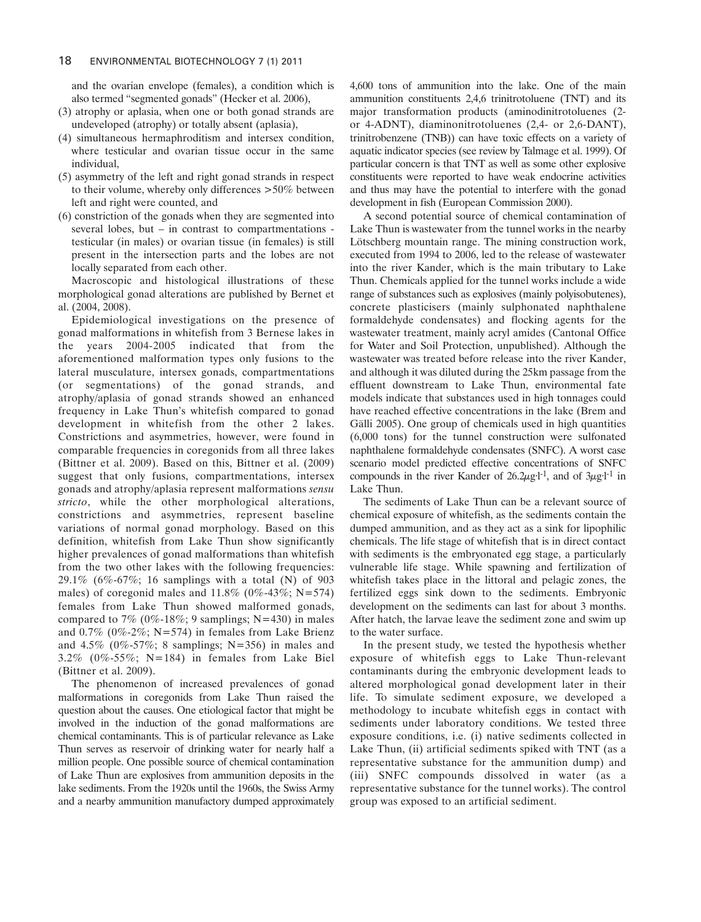and the ovarian envelope (females), a condition which is also termed "segmented gonads" (Hecker et al. 2006),

- (3) atrophy or aplasia, when one or both gonad strands are undeveloped (atrophy) or totally absent (aplasia),
- (4) simultaneous hermaphroditism and intersex condition, where testicular and ovarian tissue occur in the same individual,
- (5) asymmetry of the left and right gonad strands in respect to their volume, whereby only differences >50% between left and right were counted, and
- (6) constriction of the gonads when they are segmented into several lobes, but – in contrast to compartmentations testicular (in males) or ovarian tissue (in females) is still present in the intersection parts and the lobes are not locally separated from each other.

Macroscopic and histological illustrations of these morphological gonad alterations are published by Bernet et al. (2004, 2008).

Epidemiological investigations on the presence of gonad malformations in whitefish from 3 Bernese lakes in the years 2004-2005 indicated that from the aforementioned malformation types only fusions to the lateral musculature, intersex gonads, compartmentations (or segmentations) of the gonad strands, and atrophy/aplasia of gonad strands showed an enhanced frequency in Lake Thun's whitefish compared to gonad development in whitefish from the other 2 lakes. Constrictions and asymmetries, however, were found in comparable frequencies in coregonids from all three lakes (Bittner et al. 2009). Based on this, Bittner et al. (2009) suggest that only fusions, compartmentations, intersex gonads and atrophy/aplasia represent malformations *sensu stricto*, while the other morphological alterations, constrictions and asymmetries, represent baseline variations of normal gonad morphology. Based on this definition, whitefish from Lake Thun show significantly higher prevalences of gonad malformations than whitefish from the two other lakes with the following frequencies: 29.1% (6%-67%; 16 samplings with a total (N) of 903 males) of coregonid males and  $11.8\%$  (0%-43%; N=574) females from Lake Thun showed malformed gonads, compared to 7% (0%-18%; 9 samplings; N=430) in males and  $0.7\%$  (0%-2%; N=574) in females from Lake Brienz and  $4.5\%$  (0%-57%; 8 samplings; N=356) in males and 3.2% (0%-55%; N=184) in females from Lake Biel (Bittner et al. 2009).

The phenomenon of increased prevalences of gonad malformations in coregonids from Lake Thun raised the question about the causes. One etiological factor that might be involved in the induction of the gonad malformations are chemical contaminants. This is of particular relevance as Lake Thun serves as reservoir of drinking water for nearly half a million people. One possible source of chemical contamination of Lake Thun are explosives from ammunition deposits in the lake sediments. From the 1920s until the 1960s, the Swiss Army and a nearby ammunition manufactory dumped approximately 4,600 tons of ammunition into the lake. One of the main ammunition constituents 2,4,6 trinitrotoluene (TNT) and its major transformation products (aminodinitrotoluenes (2 or 4-ADNT), diaminonitrotoluenes (2,4- or 2,6-DANT), trinitrobenzene (TNB)) can have toxic effects on a variety of aquatic indicator species (see review by Talmage et al. 1999). Of particular concern is that TNT as well as some other explosive constituents were reported to have weak endocrine activities and thus may have the potential to interfere with the gonad development in fish (European Commission 2000).

A second potential source of chemical contamination of Lake Thun is wastewater from the tunnel works in the nearby Lötschberg mountain range. The mining construction work, executed from 1994 to 2006, led to the release of wastewater into the river Kander, which is the main tributary to Lake Thun. Chemicals applied for the tunnel works include a wide range of substances such as explosives (mainly polyisobutenes), concrete plasticisers (mainly sulphonated naphthalene formaldehyde condensates) and flocking agents for the wastewater treatment, mainly acryl amides (Cantonal Office for Water and Soil Protection, unpublished). Although the wastewater was treated before release into the river Kander, and although it was diluted during the 25km passage from the effluent downstream to Lake Thun, environmental fate models indicate that substances used in high tonnages could have reached effective concentrations in the lake (Brem and Gälli 2005). One group of chemicals used in high quantities (6,000 tons) for the tunnel construction were sulfonated naphthalene formaldehyde condensates (SNFC). A worst case scenario model predicted effective concentrations of SNFC compounds in the river Kander of  $26.2\mu g l^{-1}$ , and of  $3\mu g l^{-1}$  in Lake Thun.

The sediments of Lake Thun can be a relevant source of chemical exposure of whitefish, as the sediments contain the dumped ammunition, and as they act as a sink for lipophilic chemicals. The life stage of whitefish that is in direct contact with sediments is the embryonated egg stage, a particularly vulnerable life stage. While spawning and fertilization of whitefish takes place in the littoral and pelagic zones, the fertilized eggs sink down to the sediments. Embryonic development on the sediments can last for about 3 months. After hatch, the larvae leave the sediment zone and swim up to the water surface.

In the present study, we tested the hypothesis whether exposure of whitefish eggs to Lake Thun-relevant contaminants during the embryonic development leads to altered morphological gonad development later in their life. To simulate sediment exposure, we developed a methodology to incubate whitefish eggs in contact with sediments under laboratory conditions. We tested three exposure conditions, i.e. (i) native sediments collected in Lake Thun, (ii) artificial sediments spiked with TNT (as a representative substance for the ammunition dump) and (iii) SNFC compounds dissolved in water (as a representative substance for the tunnel works). The control group was exposed to an artificial sediment.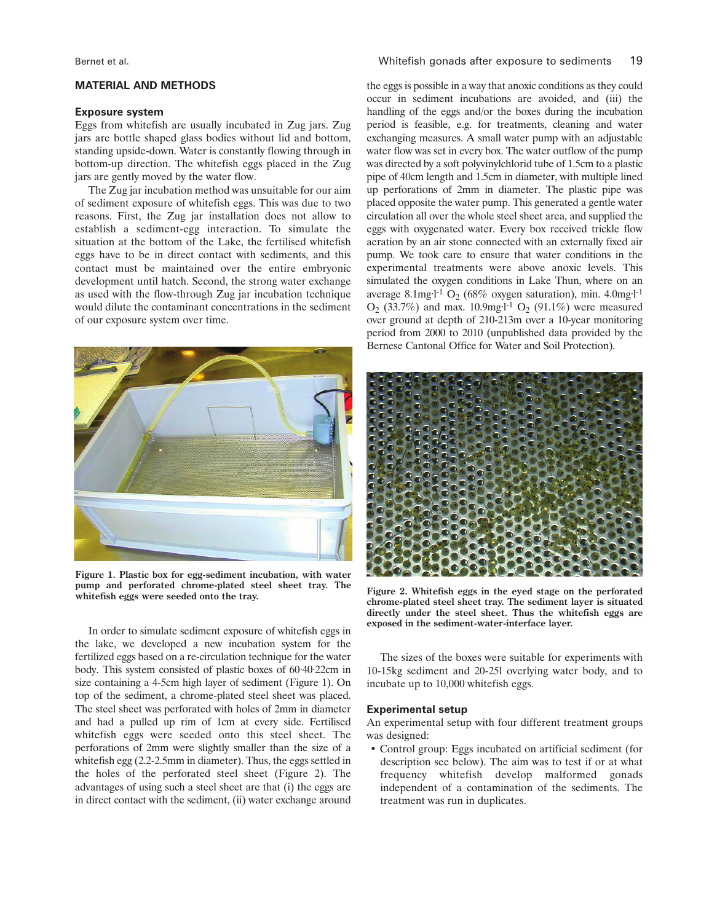## **MATERIAL AND METHODS**

# **Exposure system**

Eggs from whitefish are usually incubated in Zug jars. Zug jars are bottle shaped glass bodies without lid and bottom, standing upside-down. Water is constantly flowing through in bottom-up direction. The whitefish eggs placed in the Zug jars are gently moved by the water flow.

The Zug jar incubation method was unsuitable for our aim of sediment exposure of whitefish eggs. This was due to two reasons. First, the Zug jar installation does not allow to establish a sediment-egg interaction. To simulate the situation at the bottom of the Lake, the fertilised whitefish eggs have to be in direct contact with sediments, and this contact must be maintained over the entire embryonic development until hatch. Second, the strong water exchange as used with the flow-through Zug jar incubation technique would dilute the contaminant concentrations in the sediment of our exposure system over time.



**Figure 1. Plastic box for egg-sediment incubation, with water pump and perforated chrome-plated steel sheet tray. The whitefish eggs were seeded onto the tray.**

In order to simulate sediment exposure of whitefish eggs in the lake, we developed a new incubation system for the fertilized eggs based on a re-circulation technique for the water body. This system consisted of plastic boxes of 60·40·22cm in size containing a 4-5cm high layer of sediment (Figure 1). On top of the sediment, a chrome-plated steel sheet was placed. The steel sheet was perforated with holes of 2mm in diameter and had a pulled up rim of 1cm at every side. Fertilised whitefish eggs were seeded onto this steel sheet. The perforations of 2mm were slightly smaller than the size of a whitefish egg (2.2-2.5mm in diameter). Thus, the eggs settled in the holes of the perforated steel sheet (Figure 2). The advantages of using such a steel sheet are that (i) the eggs are in direct contact with the sediment, (ii) water exchange around the eggs is possible in a way that anoxic conditions as they could occur in sediment incubations are avoided, and (iii) the handling of the eggs and/or the boxes during the incubation period is feasible, e.g. for treatments, cleaning and water exchanging measures. A small water pump with an adjustable water flow was set in every box. The water outflow of the pump was directed by a soft polyvinylchlorid tube of 1.5cm to a plastic pipe of 40cm length and 1.5cm in diameter, with multiple lined up perforations of 2mm in diameter. The plastic pipe was placed opposite the water pump. This generated a gentle water circulation all over the whole steel sheet area, and supplied the eggs with oxygenated water. Every box received trickle flow aeration by an air stone connected with an externally fixed air pump. We took care to ensure that water conditions in the experimental treatments were above anoxic levels. This simulated the oxygen conditions in Lake Thun, where on an average 8.1mg·l<sup>-1</sup> O<sub>2</sub> (68% oxygen saturation), min. 4.0mg·l<sup>-1</sup>  $O_2$  (33.7%) and max. 10.9mg·l<sup>-1</sup>  $O_2$  (91.1%) were measured over ground at depth of 210-213m over a 10-year monitoring period from 2000 to 2010 (unpublished data provided by the Bernese Cantonal Office for Water and Soil Protection).



**Figure 2. Whitefish eggs in the eyed stage on the perforated chrome-plated steel sheet tray. The sediment layer is situated directly under the steel sheet. Thus the whitefish eggs are exposed in the sediment-water-interface layer.**

The sizes of the boxes were suitable for experiments with 10-15kg sediment and 20-25l overlying water body, and to incubate up to 10,000 whitefish eggs.

## **Experimental setup**

An experimental setup with four different treatment groups was designed:

• Control group: Eggs incubated on artificial sediment (for description see below). The aim was to test if or at what frequency whitefish develop malformed gonads independent of a contamination of the sediments. The treatment was run in duplicates.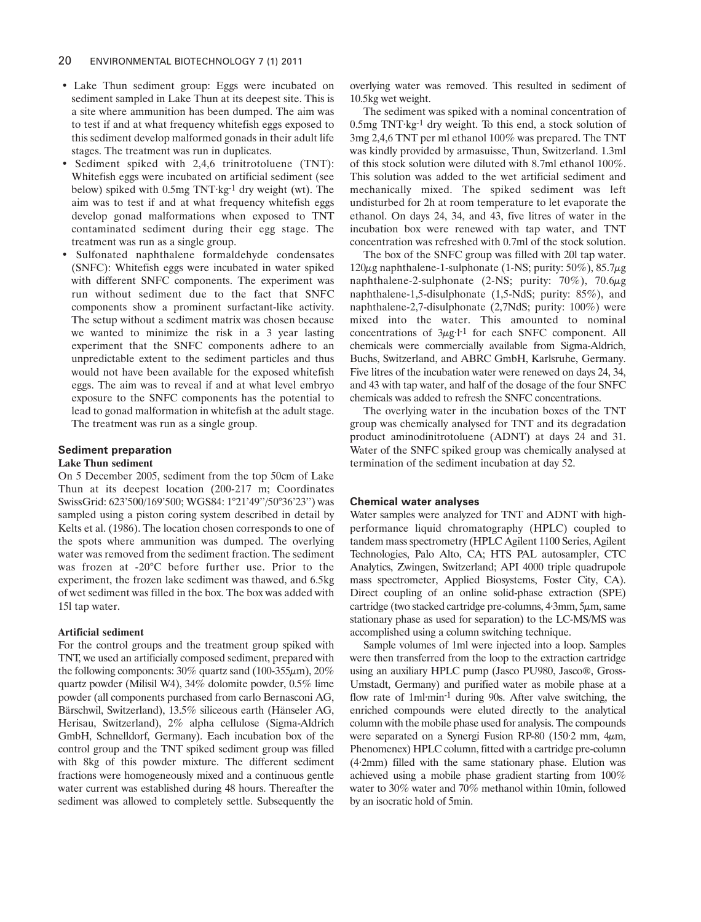- Lake Thun sediment group: Eggs were incubated on sediment sampled in Lake Thun at its deepest site. This is a site where ammunition has been dumped. The aim was to test if and at what frequency whitefish eggs exposed to this sediment develop malformed gonads in their adult life stages. The treatment was run in duplicates.
- Sediment spiked with 2,4,6 trinitrotoluene (TNT): Whitefish eggs were incubated on artificial sediment (see below) spiked with 0.5mg TNT·kg-1 dry weight (wt). The aim was to test if and at what frequency whitefish eggs develop gonad malformations when exposed to TNT contaminated sediment during their egg stage. The treatment was run as a single group.
- Sulfonated naphthalene formaldehyde condensates (SNFC): Whitefish eggs were incubated in water spiked with different SNFC components. The experiment was run without sediment due to the fact that SNFC components show a prominent surfactant-like activity. The setup without a sediment matrix was chosen because we wanted to minimize the risk in a 3 year lasting experiment that the SNFC components adhere to an unpredictable extent to the sediment particles and thus would not have been available for the exposed whitefish eggs. The aim was to reveal if and at what level embryo exposure to the SNFC components has the potential to lead to gonad malformation in whitefish at the adult stage. The treatment was run as a single group.

# **Sediment preparation**

# **Lake Thun sediment**

On 5 December 2005, sediment from the top 50cm of Lake Thun at its deepest location (200-217 m; Coordinates SwissGrid: 623'500/169'500; WGS84: 1°21'49''/50°36'23'') was sampled using a piston coring system described in detail by Kelts et al. (1986). The location chosen corresponds to one of the spots where ammunition was dumped. The overlying water was removed from the sediment fraction. The sediment was frozen at -20°C before further use. Prior to the experiment, the frozen lake sediment was thawed, and 6.5kg of wet sediment was filled in the box. The box was added with 15l tap water.

#### **Artificial sediment**

For the control groups and the treatment group spiked with TNT, we used an artificially composed sediment, prepared with the following components:  $30\%$  quartz sand (100-355 $\mu$ m),  $20\%$ quartz powder (Milisil W4), 34% dolomite powder, 0.5% lime powder (all components purchased from carlo Bernasconi AG, Bärschwil, Switzerland), 13.5% siliceous earth (Hänseler AG, Herisau, Switzerland), 2% alpha cellulose (Sigma-Aldrich GmbH, Schnelldorf, Germany). Each incubation box of the control group and the TNT spiked sediment group was filled with 8kg of this powder mixture. The different sediment fractions were homogeneously mixed and a continuous gentle water current was established during 48 hours. Thereafter the sediment was allowed to completely settle. Subsequently the

overlying water was removed. This resulted in sediment of 10.5kg wet weight.

The sediment was spiked with a nominal concentration of 0.5mg TNT·kg-1 dry weight. To this end, a stock solution of 3mg 2,4,6 TNT per ml ethanol 100% was prepared. The TNT was kindly provided by armasuisse, Thun, Switzerland. 1.3ml of this stock solution were diluted with 8.7ml ethanol 100%. This solution was added to the wet artificial sediment and mechanically mixed. The spiked sediment was left undisturbed for 2h at room temperature to let evaporate the ethanol. On days 24, 34, and 43, five litres of water in the incubation box were renewed with tap water, and TNT concentration was refreshed with 0.7ml of the stock solution.

The box of the SNFC group was filled with 20l tap water. 120 $\mu$ g naphthalene-1-sulphonate (1-NS; purity: 50%), 85.7 $\mu$ g naphthalene-2-sulphonate (2-NS; purity: 70%), 70.6µg naphthalene-1,5-disulphonate (1,5-NdS; purity: 85%), and naphthalene-2,7-disulphonate (2,7NdS; purity: 100%) were mixed into the water. This amounted to nominal concentrations of  $3\mu g·l$ <sup>-1</sup> for each SNFC component. All chemicals were commercially available from Sigma-Aldrich, Buchs, Switzerland, and ABRC GmbH, Karlsruhe, Germany. Five litres of the incubation water were renewed on days 24, 34, and 43 with tap water, and half of the dosage of the four SNFC chemicals was added to refresh the SNFC concentrations.

The overlying water in the incubation boxes of the TNT group was chemically analysed for TNT and its degradation product aminodinitrotoluene (ADNT) at days 24 and 31. Water of the SNFC spiked group was chemically analysed at termination of the sediment incubation at day 52.

# **Chemical water analyses**

Water samples were analyzed for TNT and ADNT with highperformance liquid chromatography (HPLC) coupled to tandem mass spectrometry (HPLC Agilent 1100 Series, Agilent Technologies, Palo Alto, CA; HTS PAL autosampler, CTC Analytics, Zwingen, Switzerland; API 4000 triple quadrupole mass spectrometer, Applied Biosystems, Foster City, CA). Direct coupling of an online solid-phase extraction (SPE) cartridge (two stacked cartridge pre-columns,  $4.3$ mm,  $5\mu$ m, same stationary phase as used for separation) to the LC-MS/MS was accomplished using a column switching technique.

Sample volumes of 1ml were injected into a loop. Samples were then transferred from the loop to the extraction cartridge using an auxiliary HPLC pump (Jasco PU980, Jasco®, Gross-Umstadt, Germany) and purified water as mobile phase at a flow rate of 1ml·min-1 during 90s. After valve switching, the enriched compounds were eluted directly to the analytical column with the mobile phase used for analysis. The compounds were separated on a Synergi Fusion RP-80 (150·2 mm, 4µm, Phenomenex) HPLC column, fitted with a cartridge pre-column (4·2mm) filled with the same stationary phase. Elution was achieved using a mobile phase gradient starting from 100% water to 30% water and 70% methanol within 10min, followed by an isocratic hold of 5min.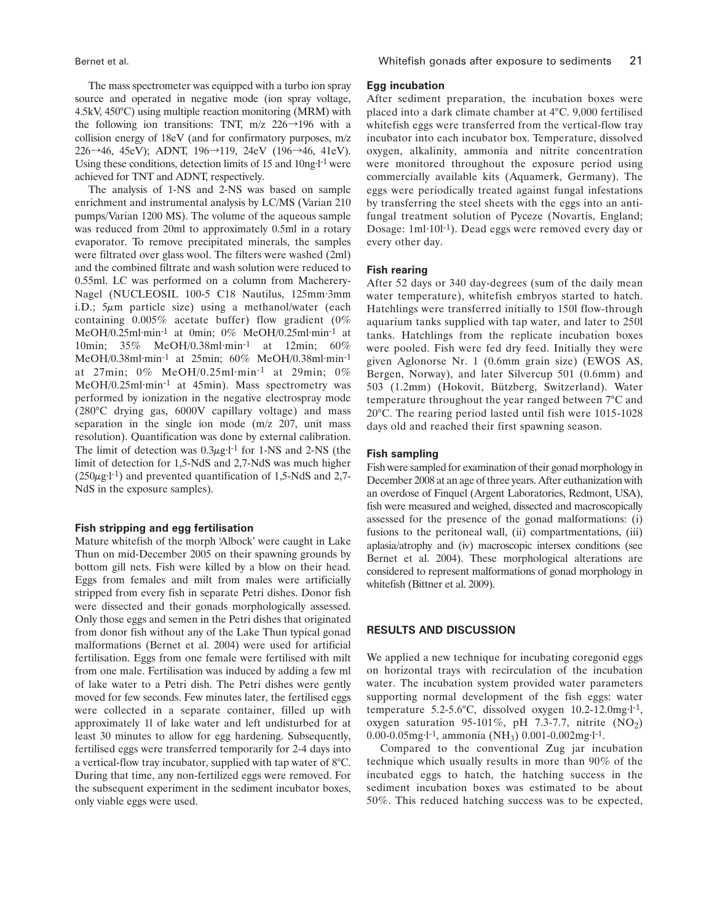The mass spectrometer was equipped with a turbo ion spray source and operated in negative mode (ion spray voltage, 4.5kV, 450°C) using multiple reaction monitoring (MRM) with the following ion transitions: TNT, m/z  $226 \rightarrow 196$  with a collision energy of 18eV (and for confirmatory purposes, m/z 226→46, 45eV); ADNT, 196→119, 24eV (196→46, 41eV). Using these conditions, detection limits of 15 and 10ng·l-1 were achieved for TNT and ADNT, respectively.

The analysis of 1-NS and 2-NS was based on sample enrichment and instrumental analysis by LC/MS (Varian 210 pumps/Varian 1200 MS). The volume of the aqueous sample was reduced from 20ml to approximately 0.5ml in a rotary evaporator. To remove precipitated minerals, the samples were filtrated over glass wool. The filters were washed (2ml) and the combined filtrate and wash solution were reduced to 0.55ml. LC was performed on a column from Macherery-Nagel (NUCLEOSIL 100-5 C18 Nautilus, 125mm·3mm i.D.;  $5\mu m$  particle size) using a methanol/water (each containing  $0.005\%$  acetate buffer) flow gradient (0%) MeOH/0.25ml·min-1 at 0min; 0% MeOH/0.25ml·min-1 at 10min; 35% MeOH/0.38ml·min-1 at 12min; 60% MeOH/0.38ml·min-1 at 25min; 60% MeOH/0.38ml·min-1 at 27min; 0% MeOH/0.25ml·min-1 at 29min; 0% MeOH/0.25ml·min-1 at 45min). Mass spectrometry was performed by ionization in the negative electrospray mode (280°C drying gas, 6000V capillary voltage) and mass separation in the single ion mode (m/z 207, unit mass resolution). Quantification was done by external calibration. The limit of detection was  $0.3\mu$ g·l<sup>-1</sup> for 1-NS and 2-NS (the limit of detection for 1,5-NdS and 2,7-NdS was much higher  $(250\mu g \cdot l^{-1})$  and prevented quantification of 1,5-NdS and 2,7-NdS in the exposure samples).

#### **Fish stripping and egg fertilisation**

Mature whitefish of the morph 'Albock' were caught in Lake Thun on mid-December 2005 on their spawning grounds by bottom gill nets. Fish were killed by a blow on their head. Eggs from females and milt from males were artificially stripped from every fish in separate Petri dishes. Donor fish were dissected and their gonads morphologically assessed. Only those eggs and semen in the Petri dishes that originated from donor fish without any of the Lake Thun typical gonad malformations (Bernet et al. 2004) were used for artificial fertilisation. Eggs from one female were fertilised with milt from one male. Fertilisation was induced by adding a few ml of lake water to a Petri dish. The Petri dishes were gently moved for few seconds. Few minutes later, the fertilised eggs were collected in a separate container, filled up with approximately 1l of lake water and left undisturbed for at least 30 minutes to allow for egg hardening. Subsequently, fertilised eggs were transferred temporarily for 2-4 days into a vertical-flow tray incubator, supplied with tap water of 8°C. During that time, any non-fertilized eggs were removed. For the subsequent experiment in the sediment incubator boxes, only viable eggs were used.

# **Egg incubation**

After sediment preparation, the incubation boxes were placed into a dark climate chamber at 4°C. 9,000 fertilised whitefish eggs were transferred from the vertical-flow tray incubator into each incubator box. Temperature, dissolved oxygen, alkalinity, ammonia and nitrite concentration were monitored throughout the exposure period using commercially available kits (Aquamerk, Germany). The eggs were periodically treated against fungal infestations by transferring the steel sheets with the eggs into an antifungal treatment solution of Pyceze (Novartis, England; Dosage: 1ml·10l-1). Dead eggs were removed every day or every other day.

# **Fish rearing**

After 52 days or 340 day-degrees (sum of the daily mean water temperature), whitefish embryos started to hatch. Hatchlings were transferred initially to 150l flow-through aquarium tanks supplied with tap water, and later to 250l tanks. Hatchlings from the replicate incubation boxes were pooled. Fish were fed dry feed. Initially they were given Aglonorse Nr. 1 (0.6mm grain size) (EWOS AS, Bergen, Norway), and later Silvercup 501 (0.6mm) and 503 (1.2mm) (Hokovit, Bützberg, Switzerland). Water temperature throughout the year ranged between 7°C and 20°C. The rearing period lasted until fish were 1015-1028 days old and reached their first spawning season.

#### **Fish sampling**

Fish were sampled for examination of their gonad morphology in December 2008 at an age of three years. After euthanization with an overdose of Finquel (Argent Laboratories, Redmont, USA), fish were measured and weighed, dissected and macroscopically assessed for the presence of the gonad malformations: (i) fusions to the peritoneal wall, (ii) compartmentations, (iii) aplasia/atrophy and (iv) macroscopic intersex conditions (see Bernet et al. 2004). These morphological alterations are considered to represent malformations of gonad morphology in whitefish (Bittner et al. 2009).

# **RESULTS AND DISCUSSION**

We applied a new technique for incubating coregonid eggs on horizontal trays with recirculation of the incubation water. The incubation system provided water parameters supporting normal development of the fish eggs: water temperature 5.2-5.6°C, dissolved oxygen 10.2-12.0mg·l-1, oxygen saturation 95-101%, pH 7.3-7.7, nitrite  $(NO<sub>2</sub>)$ 0.00-0.05mg·l<sup>-1</sup>, ammonia (NH<sub>3</sub>) 0.001-0.002mg·l<sup>-1</sup>.

Compared to the conventional Zug jar incubation technique which usually results in more than 90% of the incubated eggs to hatch, the hatching success in the sediment incubation boxes was estimated to be about 50%. This reduced hatching success was to be expected,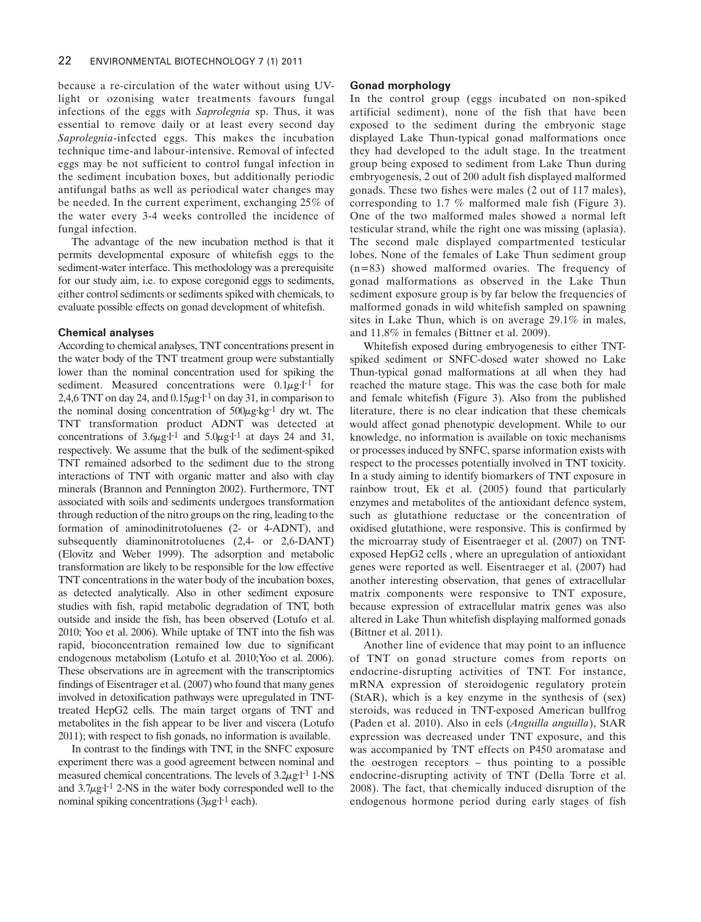because a re-circulation of the water without using UVlight or ozonising water treatments favours fungal infections of the eggs with *Saprolegnia* sp. Thus, it was essential to remove daily or at least every second day *Saprolegnia*-infected eggs. This makes the incubation technique time-and labour-intensive. Removal of infected eggs may be not sufficient to control fungal infection in the sediment incubation boxes, but additionally periodic antifungal baths as well as periodical water changes may be needed. In the current experiment, exchanging 25% of the water every 3-4 weeks controlled the incidence of fungal infection.

The advantage of the new incubation method is that it permits developmental exposure of whitefish eggs to the sediment-water interface. This methodology was a prerequisite for our study aim, i.e. to expose coregonid eggs to sediments, either control sediments or sediments spiked with chemicals, to evaluate possible effects on gonad development of whitefish.

## **Chemical analyses**

According to chemical analyses, TNT concentrations present in the water body of the TNT treatment group were substantially lower than the nominal concentration used for spiking the sediment. Measured concentrations were  $0.1\mu$ g·l<sup>-1</sup> for 2,4,6 TNT on day 24, and  $0.15\mu g \cdot l^{-1}$  on day 31, in comparison to the nominal dosing concentration of  $500\mu$ g·kg<sup>-1</sup> dry wt. The TNT transformation product ADNT was detected at concentrations of  $3.6\mu g l^{-1}$  and  $5.0\mu g l^{-1}$  at days 24 and 31, respectively. We assume that the bulk of the sediment-spiked TNT remained adsorbed to the sediment due to the strong interactions of TNT with organic matter and also with clay minerals (Brannon and Pennington 2002). Furthermore, TNT associated with soils and sediments undergoes transformation through reduction of the nitro groups on the ring, leading to the formation of aminodinitrotoluenes (2- or 4-ADNT), and subsequently diaminonitrotoluenes (2,4- or 2,6-DANT) (Elovitz and Weber 1999). The adsorption and metabolic transformation are likely to be responsible for the low effective TNT concentrations in the water body of the incubation boxes, as detected analytically. Also in other sediment exposure studies with fish, rapid metabolic degradation of TNT, both outside and inside the fish, has been observed (Lotufo et al. 2010; Yoo et al. 2006). While uptake of TNT into the fish was rapid, bioconcentration remained low due to significant endogenous metabolism (Lotufo et al. 2010;Yoo et al. 2006). These observations are in agreement with the transcriptomics findings of Eisentrager et al. (2007) who found that many genes involved in detoxification pathways were upregulated in TNTtreated HepG2 cells. The main target organs of TNT and metabolites in the fish appear to be liver and viscera (Lotufo 2011); with respect to fish gonads, no information is available.

In contrast to the findings with TNT, in the SNFC exposure experiment there was a good agreement between nominal and measured chemical concentrations. The levels of  $3.2\mu$ g·l<sup>-1</sup> 1-NS and  $3.7\mu$ g·l<sup>-1</sup> 2-NS in the water body corresponded well to the nominal spiking concentrations  $(3\mu g I^{-1}$  each).

# **Gonad morphology**

In the control group (eggs incubated on non-spiked artificial sediment), none of the fish that have been exposed to the sediment during the embryonic stage displayed Lake Thun-typical gonad malformations once they had developed to the adult stage. In the treatment group being exposed to sediment from Lake Thun during embryogenesis, 2 out of 200 adult fish displayed malformed gonads. These two fishes were males (2 out of 117 males), corresponding to 1.7 % malformed male fish (Figure 3). One of the two malformed males showed a normal left testicular strand, while the right one was missing (aplasia). The second male displayed compartmented testicular lobes. None of the females of Lake Thun sediment group (n=83) showed malformed ovaries. The frequency of gonad malformations as observed in the Lake Thun sediment exposure group is by far below the frequencies of malformed gonads in wild whitefish sampled on spawning sites in Lake Thun, which is on average 29.1% in males, and 11.8% in females (Bittner et al. 2009).

Whitefish exposed during embryogenesis to either TNTspiked sediment or SNFC-dosed water showed no Lake Thun-typical gonad malformations at all when they had reached the mature stage. This was the case both for male and female whitefish (Figure 3). Also from the published literature, there is no clear indication that these chemicals would affect gonad phenotypic development. While to our knowledge, no information is available on toxic mechanisms or processes induced by SNFC, sparse information exists with respect to the processes potentially involved in TNT toxicity. In a study aiming to identify biomarkers of TNT exposure in rainbow trout, Ek et al. (2005) found that particularly enzymes and metabolites of the antioxidant defence system, such as glutathione reductase or the concentration of oxidised glutathione, were responsive. This is confirmed by the microarray study of Eisentraeger et al. (2007) on TNTexposed HepG2 cells , where an upregulation of antioxidant genes were reported as well. Eisentraeger et al. (2007) had another interesting observation, that genes of extracellular matrix components were responsive to TNT exposure, because expression of extracellular matrix genes was also altered in Lake Thun whitefish displaying malformed gonads (Bittner et al. 2011).

Another line of evidence that may point to an influence of TNT on gonad structure comes from reports on endocrine-disrupting activities of TNT. For instance, mRNA expression of steroidogenic regulatory protein (StAR), which is a key enzyme in the synthesis of (sex) steroids, was reduced in TNT-exposed American bullfrog (Paden et al. 2010). Also in eels (*Anguilla anguilla*), StAR expression was decreased under TNT exposure, and this was accompanied by TNT effects on P450 aromatase and the oestrogen receptors – thus pointing to a possible endocrine-disrupting activity of TNT (Della Torre et al. 2008). The fact, that chemically induced disruption of the endogenous hormone period during early stages of fish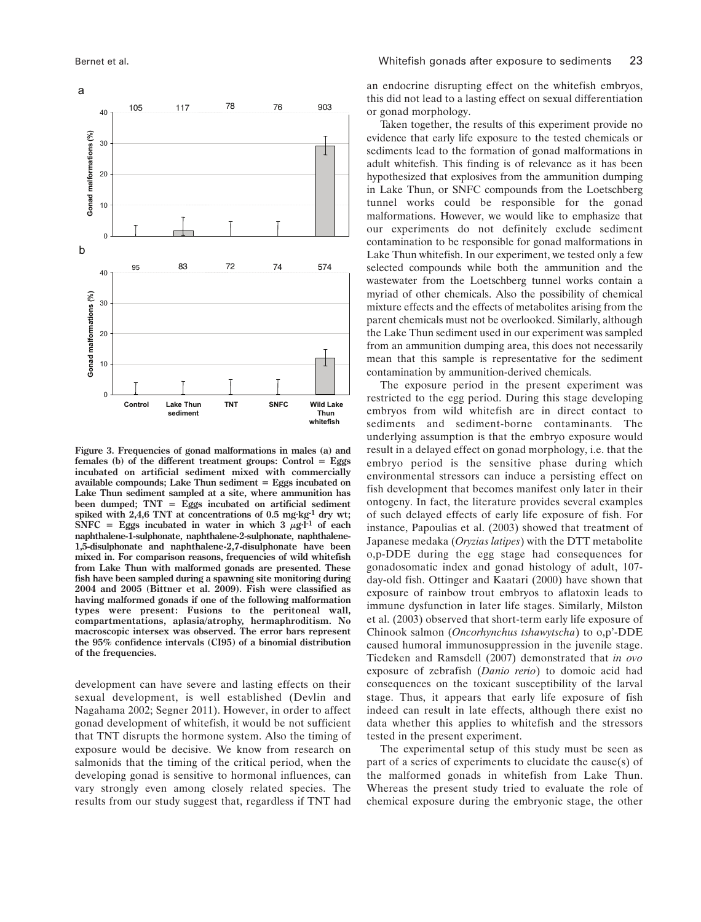40 **Gonad malformations (%)** 30 T 20 10  $\overline{0}$ 95 83 72 74 574 40 Gonad malformations (%) **Gonad malformations (%)** 30  $20$ 10

MS 134 D BERNET **available compounds; Lake Thun sediment = Eggs incubated on** Figure 3 **been dumped; TNT = Eggs incubated on artificial sediment Figure 3. Frequencies of gonad malformations in males (a) and females (b) of the different treatment groups: Control = Eggs incubated on artificial sediment mixed with commercially Lake Thun sediment sampled at a site, where ammunition has spiked with 2,4,6 TNT at concentrations of 0.5 mg·kg-1 dry wt; SNFC** = **Eggs** incubated in water in which  $3 \mu g \cdot$ <sup>1</sup> of each **naphthalene-1-sulphonate, naphthalene-2-sulphonate, naphthalene-1,5-disulphonate and naphthalene-2,7-disulphonate have been mixed in. For comparison reasons, frequencies of wild whitefish from Lake Thun with malformed gonads are presented. These fish have been sampled during a spawning site monitoring during 2004 and 2005 (Bittner et al. 2009). Fish were classified as having malformed gonads if one of the following malformation types were present: Fusions to the peritoneal wall, compartmentations, aplasia/atrophy, hermaphroditism. No macroscopic intersex was observed. The error bars represent the 95% confidence intervals (CI95) of a binomial distribution of the frequencies.**

development can have severe and lasting effects on their sexual development, is well established (Devlin and Nagahama 2002; Segner 2011). However, in order to affect gonad development of whitefish, it would be not sufficient that TNT disrupts the hormone system. Also the timing of exposure would be decisive. We know from research on salmonids that the timing of the critical period, when the developing gonad is sensitive to hormonal influences, can vary strongly even among closely related species. The results from our study suggest that, regardless if TNT had an endocrine disrupting effect on the whitefish embryos, this did not lead to a lasting effect on sexual differentiation or gonad morphology.

Taken together, the results of this experiment provide no evidence that early life exposure to the tested chemicals or sediments lead to the formation of gonad malformations in adult whitefish. This finding is of relevance as it has been hypothesized that explosives from the ammunition dumping in Lake Thun, or SNFC compounds from the Loetschberg tunnel works could be responsible for the gonad malformations. However, we would like to emphasize that our experiments do not definitely exclude sediment contamination to be responsible for gonad malformations in Lake Thun whitefish. In our experiment, we tested only a few selected compounds while both the ammunition and the wastewater from the Loetschberg tunnel works contain a myriad of other chemicals. Also the possibility of chemical mixture effects and the effects of metabolites arising from the parent chemicals must not be overlooked. Similarly, although the Lake Thun sediment used in our experiment was sampled from an ammunition dumping area, this does not necessarily mean that this sample is representative for the sediment contamination by ammunition-derived chemicals.

The exposure period in the present experiment was restricted to the egg period. During this stage developing embryos from wild whitefish are in direct contact to sediments and sediment-borne contaminants. The underlying assumption is that the embryo exposure would result in a delayed effect on gonad morphology, i.e. that the embryo period is the sensitive phase during which environmental stressors can induce a persisting effect on fish development that becomes manifest only later in their ontogeny. In fact, the literature provides several examples of such delayed effects of early life exposure of fish. For instance, Papoulias et al. (2003) showed that treatment of Japanese medaka (*Oryzias latipes*) with the DTT metabolite o,p-DDE during the egg stage had consequences for gonadosomatic index and gonad histology of adult, 107 day-old fish. Ottinger and Kaatari (2000) have shown that exposure of rainbow trout embryos to aflatoxin leads to immune dysfunction in later life stages. Similarly, Milston et al. (2003) observed that short-term early life exposure of Chinook salmon (*Oncorhynchus tshawytscha*) to o,p'-DDE caused humoral immunosuppression in the juvenile stage. Tiedeken and Ramsdell (2007) demonstrated that *in ovo* exposure of zebrafish (*Danio rerio*) to domoic acid had consequences on the toxicant susceptibility of the larval stage. Thus, it appears that early life exposure of fish indeed can result in late effects, although there exist no data whether this applies to whitefish and the stressors tested in the present experiment.

The experimental setup of this study must be seen as part of a series of experiments to elucidate the cause(s) of the malformed gonads in whitefish from Lake Thun. Whereas the present study tried to evaluate the role of chemical exposure during the embryonic stage, the other



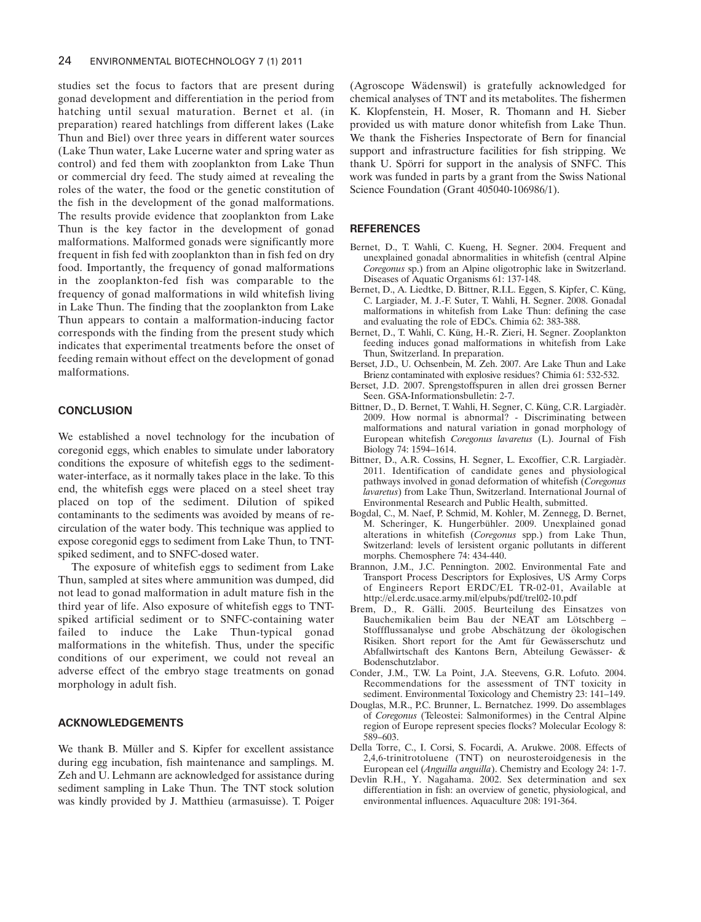studies set the focus to factors that are present during gonad development and differentiation in the period from hatching until sexual maturation. Bernet et al. (in preparation) reared hatchlings from different lakes (Lake Thun and Biel) over three years in different water sources (Lake Thun water, Lake Lucerne water and spring water as control) and fed them with zooplankton from Lake Thun or commercial dry feed. The study aimed at revealing the roles of the water, the food or the genetic constitution of the fish in the development of the gonad malformations. The results provide evidence that zooplankton from Lake Thun is the key factor in the development of gonad malformations. Malformed gonads were significantly more frequent in fish fed with zooplankton than in fish fed on dry food. Importantly, the frequency of gonad malformations in the zooplankton-fed fish was comparable to the frequency of gonad malformations in wild whitefish living in Lake Thun. The finding that the zooplankton from Lake Thun appears to contain a malformation-inducing factor corresponds with the finding from the present study which indicates that experimental treatments before the onset of feeding remain without effect on the development of gonad malformations.

# **CONCLUSION**

We established a novel technology for the incubation of coregonid eggs, which enables to simulate under laboratory conditions the exposure of whitefish eggs to the sedimentwater-interface, as it normally takes place in the lake. To this end, the whitefish eggs were placed on a steel sheet tray placed on top of the sediment. Dilution of spiked contaminants to the sediments was avoided by means of recirculation of the water body. This technique was applied to expose coregonid eggs to sediment from Lake Thun, to TNTspiked sediment, and to SNFC-dosed water.

The exposure of whitefish eggs to sediment from Lake Thun, sampled at sites where ammunition was dumped, did not lead to gonad malformation in adult mature fish in the third year of life. Also exposure of whitefish eggs to TNTspiked artificial sediment or to SNFC-containing water failed to induce the Lake Thun-typical gonad malformations in the whitefish. Thus, under the specific conditions of our experiment, we could not reveal an adverse effect of the embryo stage treatments on gonad morphology in adult fish.

# **ACKNOWLEDGEMENTS**

We thank B. Müller and S. Kipfer for excellent assistance during egg incubation, fish maintenance and samplings. M. Zeh and U. Lehmann are acknowledged for assistance during sediment sampling in Lake Thun. The TNT stock solution was kindly provided by J. Matthieu (armasuisse). T. Poiger

(Agroscope Wädenswil) is gratefully acknowledged for chemical analyses of TNT and its metabolites. The fishermen K. Klopfenstein, H. Moser, R. Thomann and H. Sieber provided us with mature donor whitefish from Lake Thun. We thank the Fisheries Inspectorate of Bern for financial support and infrastructure facilities for fish stripping. We thank U. Spörri for support in the analysis of SNFC. This work was funded in parts by a grant from the Swiss National Science Foundation (Grant 405040-106986/1).

#### **REFERENCES**

- Bernet, D., T. Wahli, C. Kueng, H. Segner. 2004. Frequent and unexplained gonadal abnormalities in whitefish (central Alpine *Coregonus* sp.) from an Alpine oligotrophic lake in Switzerland. Diseases of Aquatic Organisms 61: 137-148.
- Bernet, D., A. Liedtke, D. Bittner, R.I.L. Eggen, S. Kipfer, C. Küng, C. Largiader, M. J.-F. Suter, T. Wahli, H. Segner. 2008. Gonadal malformations in whitefish from Lake Thun: defining the case and evaluating the role of EDCs. Chimia 62: 383-388.
- Bernet, D., T. Wahli, C. Küng, H.-R. Zieri, H. Segner. Zooplankton feeding induces gonad malformations in whitefish from Lake Thun, Switzerland. In preparation.
- Berset, J.D., U. Ochsenbein, M. Zeh. 2007. Are Lake Thun and Lake Brienz contaminated with explosive residues? Chimia 61: 532-532.
- Berset, J.D. 2007. Sprengstoffspuren in allen drei grossen Berner Seen. GSA-Informationsbulletin: 2-7.
- Bittner, D., D. Bernet, T. Wahli, H. Segner, C. Küng, C.R. Largiadèr. 2009. How normal is abnormal? - Discriminating between malformations and natural variation in gonad morphology of European whitefish *Coregonus lavaretus* (L). Journal of Fish Biology 74: 1594–1614.
- Bittner, D., A.R. Cossins, H. Segner, L. Excoffier, C.R. Largiadèr. 2011. Identification of candidate genes and physiological pathways involved in gonad deformation of whitefish (*Coregonus lavaretus*) from Lake Thun, Switzerland. International Journal of Environmental Research and Public Health, submitted.
- Bogdal, C., M. Naef, P. Schmid, M. Kohler, M. Zennegg, D. Bernet, M. Scheringer, K. Hungerbühler. 2009. Unexplained gonad alterations in whitefish (*Coregonus* spp.) from Lake Thun, Switzerland: levels of lersistent organic pollutants in different morphs. Chemosphere 74: 434-440.
- Brannon, J.M., J.C. Pennington. 2002. Environmental Fate and Transport Process Descriptors for Explosives, US Army Corps of Engineers Report ERDC/EL TR-02-01, Available at http://el.erdc.usace.army.mil/elpubs/pdf/trel02-10.pdf
- Brem, D., R. Gälli. 2005. Beurteilung des Einsatzes von Bauchemikalien beim Bau der NEAT am Lötschberg – Stoffflussanalyse und grobe Abschätzung der ökologischen Risiken. Short report for the Amt für Gewässerschutz und Abfallwirtschaft des Kantons Bern, Abteilung Gewässer- & Bodenschutzlabor.
- Conder, J.M., T.W. La Point, J.A. Steevens, G.R. Lofuto. 2004. Recommendations for the assessment of TNT toxicity in sediment. Environmental Toxicology and Chemistry 23: 141–149.
- Douglas, M.R., P.C. Brunner, L. Bernatchez. 1999. Do assemblages of *Coregonus* (Teleostei: Salmoniformes) in the Central Alpine region of Europe represent species flocks? Molecular Ecology 8: 589–603.
- Della Torre, C., I. Corsi, S. Focardi, A. Arukwe. 2008. Effects of 2,4,6-trinitrotoluene (TNT) on neurosteroidgenesis in the European eel (*Anguilla anguilla*). Chemistry and Ecology 24: 1-7.
- Devlin R.H., Y. Nagahama. 2002. Sex determination and sex differentiation in fish: an overview of genetic, physiological, and environmental influences. Aquaculture 208: 191-364.